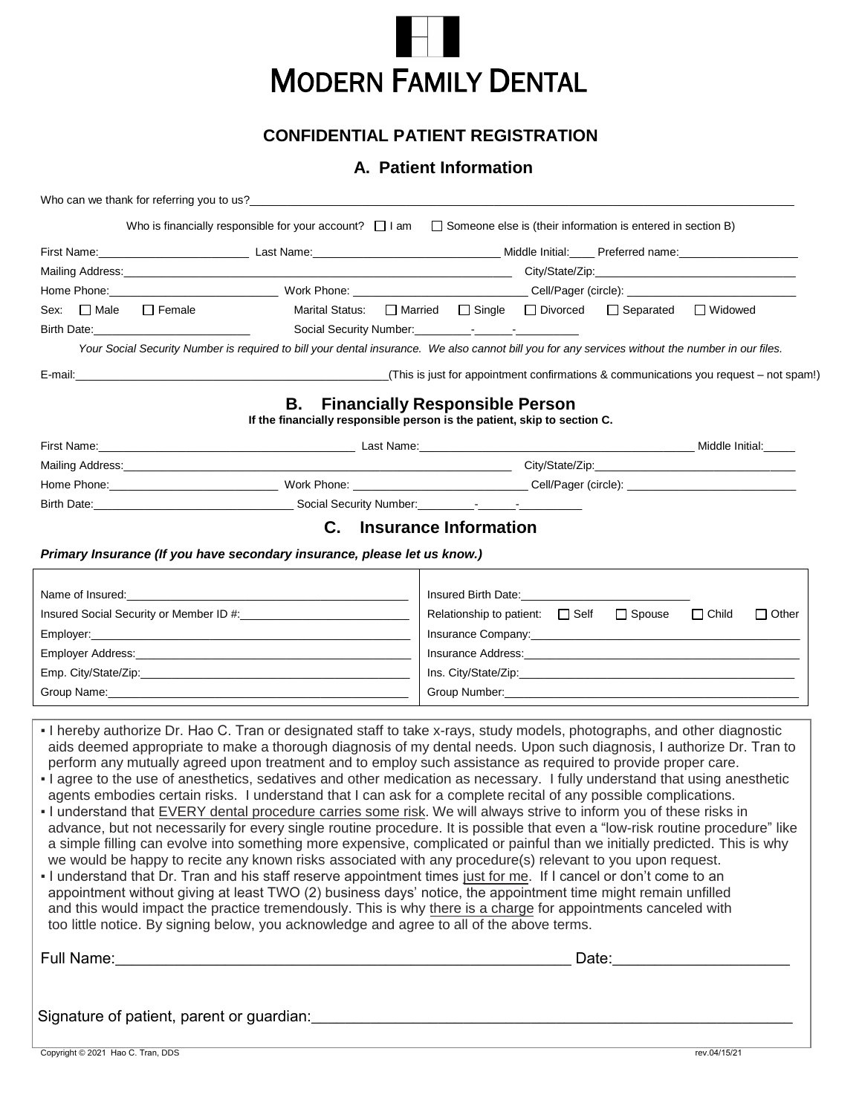

#### **CONFIDENTIAL PATIENT REGISTRATION**

### **A. Patient Information**

|                                                                                                                                                                                                                                                                                                                                                                                                                                                                                                                                                                                                                                                                                                                                                                                                                                                                                                                                                                                                                                                                                                                                                                                                                                                                                                                                                                                                                                                                                                                                                                             | Who is financially responsible for your account? $\Box$ I am $\Box$ Someone else is (their information is entered in section B) |                                                                                                                                                                                                                                |  |              |
|-----------------------------------------------------------------------------------------------------------------------------------------------------------------------------------------------------------------------------------------------------------------------------------------------------------------------------------------------------------------------------------------------------------------------------------------------------------------------------------------------------------------------------------------------------------------------------------------------------------------------------------------------------------------------------------------------------------------------------------------------------------------------------------------------------------------------------------------------------------------------------------------------------------------------------------------------------------------------------------------------------------------------------------------------------------------------------------------------------------------------------------------------------------------------------------------------------------------------------------------------------------------------------------------------------------------------------------------------------------------------------------------------------------------------------------------------------------------------------------------------------------------------------------------------------------------------------|---------------------------------------------------------------------------------------------------------------------------------|--------------------------------------------------------------------------------------------------------------------------------------------------------------------------------------------------------------------------------|--|--------------|
| First Name: Containing the Contact Contains a Last Name: Contact Contact Contact Contact Contact Contact Contact Contact Contact Contact Contact Contact Contact Contact Contact Contact Contact Contact Contact Contact Conta                                                                                                                                                                                                                                                                                                                                                                                                                                                                                                                                                                                                                                                                                                                                                                                                                                                                                                                                                                                                                                                                                                                                                                                                                                                                                                                                              |                                                                                                                                 |                                                                                                                                                                                                                                |  |              |
|                                                                                                                                                                                                                                                                                                                                                                                                                                                                                                                                                                                                                                                                                                                                                                                                                                                                                                                                                                                                                                                                                                                                                                                                                                                                                                                                                                                                                                                                                                                                                                             |                                                                                                                                 |                                                                                                                                                                                                                                |  |              |
|                                                                                                                                                                                                                                                                                                                                                                                                                                                                                                                                                                                                                                                                                                                                                                                                                                                                                                                                                                                                                                                                                                                                                                                                                                                                                                                                                                                                                                                                                                                                                                             |                                                                                                                                 |                                                                                                                                                                                                                                |  |              |
| Sex: □ Male □ Female                                                                                                                                                                                                                                                                                                                                                                                                                                                                                                                                                                                                                                                                                                                                                                                                                                                                                                                                                                                                                                                                                                                                                                                                                                                                                                                                                                                                                                                                                                                                                        |                                                                                                                                 | Marital Status: □ Married □ Single □ Divorced □ Separated □ Widowed                                                                                                                                                            |  |              |
| Birth Date: <u>Discoversion of the set of the set of the set of the set of the set of the set of the set of the set of the set of the set of the set of the set of the set of the set of the set of the set of the set of the se</u>                                                                                                                                                                                                                                                                                                                                                                                                                                                                                                                                                                                                                                                                                                                                                                                                                                                                                                                                                                                                                                                                                                                                                                                                                                                                                                                                        |                                                                                                                                 |                                                                                                                                                                                                                                |  |              |
| Your Social Security Number is required to bill your dental insurance. We also cannot bill you for any services without the number in our files.                                                                                                                                                                                                                                                                                                                                                                                                                                                                                                                                                                                                                                                                                                                                                                                                                                                                                                                                                                                                                                                                                                                                                                                                                                                                                                                                                                                                                            |                                                                                                                                 |                                                                                                                                                                                                                                |  |              |
|                                                                                                                                                                                                                                                                                                                                                                                                                                                                                                                                                                                                                                                                                                                                                                                                                                                                                                                                                                                                                                                                                                                                                                                                                                                                                                                                                                                                                                                                                                                                                                             |                                                                                                                                 |                                                                                                                                                                                                                                |  |              |
|                                                                                                                                                                                                                                                                                                                                                                                                                                                                                                                                                                                                                                                                                                                                                                                                                                                                                                                                                                                                                                                                                                                                                                                                                                                                                                                                                                                                                                                                                                                                                                             | В.<br>If the financially responsible person is the patient, skip to section C.                                                  | <b>Financially Responsible Person</b>                                                                                                                                                                                          |  |              |
| Eirst Name: Middle Initial: Contract of the Contract of Last Name: Contract of the Contract of the Middle Initial:                                                                                                                                                                                                                                                                                                                                                                                                                                                                                                                                                                                                                                                                                                                                                                                                                                                                                                                                                                                                                                                                                                                                                                                                                                                                                                                                                                                                                                                          |                                                                                                                                 |                                                                                                                                                                                                                                |  |              |
|                                                                                                                                                                                                                                                                                                                                                                                                                                                                                                                                                                                                                                                                                                                                                                                                                                                                                                                                                                                                                                                                                                                                                                                                                                                                                                                                                                                                                                                                                                                                                                             |                                                                                                                                 |                                                                                                                                                                                                                                |  |              |
|                                                                                                                                                                                                                                                                                                                                                                                                                                                                                                                                                                                                                                                                                                                                                                                                                                                                                                                                                                                                                                                                                                                                                                                                                                                                                                                                                                                                                                                                                                                                                                             |                                                                                                                                 |                                                                                                                                                                                                                                |  |              |
|                                                                                                                                                                                                                                                                                                                                                                                                                                                                                                                                                                                                                                                                                                                                                                                                                                                                                                                                                                                                                                                                                                                                                                                                                                                                                                                                                                                                                                                                                                                                                                             |                                                                                                                                 |                                                                                                                                                                                                                                |  |              |
|                                                                                                                                                                                                                                                                                                                                                                                                                                                                                                                                                                                                                                                                                                                                                                                                                                                                                                                                                                                                                                                                                                                                                                                                                                                                                                                                                                                                                                                                                                                                                                             |                                                                                                                                 | C. Insurance Information                                                                                                                                                                                                       |  |              |
|                                                                                                                                                                                                                                                                                                                                                                                                                                                                                                                                                                                                                                                                                                                                                                                                                                                                                                                                                                                                                                                                                                                                                                                                                                                                                                                                                                                                                                                                                                                                                                             |                                                                                                                                 |                                                                                                                                                                                                                                |  |              |
| Primary Insurance (If you have secondary insurance, please let us know.)                                                                                                                                                                                                                                                                                                                                                                                                                                                                                                                                                                                                                                                                                                                                                                                                                                                                                                                                                                                                                                                                                                                                                                                                                                                                                                                                                                                                                                                                                                    |                                                                                                                                 |                                                                                                                                                                                                                                |  |              |
|                                                                                                                                                                                                                                                                                                                                                                                                                                                                                                                                                                                                                                                                                                                                                                                                                                                                                                                                                                                                                                                                                                                                                                                                                                                                                                                                                                                                                                                                                                                                                                             |                                                                                                                                 |                                                                                                                                                                                                                                |  |              |
|                                                                                                                                                                                                                                                                                                                                                                                                                                                                                                                                                                                                                                                                                                                                                                                                                                                                                                                                                                                                                                                                                                                                                                                                                                                                                                                                                                                                                                                                                                                                                                             |                                                                                                                                 | Relationship to patient:<br>$\Box$<br>Self $\Box$<br>Spouse $\Box$<br>Child                                                                                                                                                    |  | $\Box$ Other |
|                                                                                                                                                                                                                                                                                                                                                                                                                                                                                                                                                                                                                                                                                                                                                                                                                                                                                                                                                                                                                                                                                                                                                                                                                                                                                                                                                                                                                                                                                                                                                                             |                                                                                                                                 |                                                                                                                                                                                                                                |  |              |
|                                                                                                                                                                                                                                                                                                                                                                                                                                                                                                                                                                                                                                                                                                                                                                                                                                                                                                                                                                                                                                                                                                                                                                                                                                                                                                                                                                                                                                                                                                                                                                             |                                                                                                                                 | Insurance Address: No. 1996. The Contract of the Contract of the Contract of the Contract of the Contract of the Contract of the Contract of the Contract of the Contract of the Contract of the Contract of the Contract of t |  |              |
|                                                                                                                                                                                                                                                                                                                                                                                                                                                                                                                                                                                                                                                                                                                                                                                                                                                                                                                                                                                                                                                                                                                                                                                                                                                                                                                                                                                                                                                                                                                                                                             |                                                                                                                                 |                                                                                                                                                                                                                                |  |              |
|                                                                                                                                                                                                                                                                                                                                                                                                                                                                                                                                                                                                                                                                                                                                                                                                                                                                                                                                                                                                                                                                                                                                                                                                                                                                                                                                                                                                                                                                                                                                                                             |                                                                                                                                 |                                                                                                                                                                                                                                |  |              |
|                                                                                                                                                                                                                                                                                                                                                                                                                                                                                                                                                                                                                                                                                                                                                                                                                                                                                                                                                                                                                                                                                                                                                                                                                                                                                                                                                                                                                                                                                                                                                                             |                                                                                                                                 |                                                                                                                                                                                                                                |  |              |
| - I hereby authorize Dr. Hao C. Tran or designated staff to take x-rays, study models, photographs, and other diagnostic<br>aids deemed appropriate to make a thorough diagnosis of my dental needs. Upon such diagnosis, I authorize Dr. Tran to<br>perform any mutually agreed upon treatment and to employ such assistance as required to provide proper care.<br>- I agree to the use of anesthetics, sedatives and other medication as necessary. I fully understand that using anesthetic<br>agents embodies certain risks. I understand that I can ask for a complete recital of any possible complications.<br>- I understand that EVERY dental procedure carries some risk. We will always strive to inform you of these risks in<br>advance, but not necessarily for every single routine procedure. It is possible that even a "low-risk routine procedure" like<br>a simple filling can evolve into something more expensive, complicated or painful than we initially predicted. This is why<br>we would be happy to recite any known risks associated with any procedure(s) relevant to you upon request.<br>- I understand that Dr. Tran and his staff reserve appointment times just for me. If I cancel or don't come to an<br>appointment without giving at least TWO (2) business days' notice, the appointment time might remain unfilled<br>and this would impact the practice tremendously. This is why there is a charge for appointments canceled with<br>too little notice. By signing below, you acknowledge and agree to all of the above terms. |                                                                                                                                 |                                                                                                                                                                                                                                |  |              |
|                                                                                                                                                                                                                                                                                                                                                                                                                                                                                                                                                                                                                                                                                                                                                                                                                                                                                                                                                                                                                                                                                                                                                                                                                                                                                                                                                                                                                                                                                                                                                                             |                                                                                                                                 |                                                                                                                                                                                                                                |  |              |
|                                                                                                                                                                                                                                                                                                                                                                                                                                                                                                                                                                                                                                                                                                                                                                                                                                                                                                                                                                                                                                                                                                                                                                                                                                                                                                                                                                                                                                                                                                                                                                             |                                                                                                                                 |                                                                                                                                                                                                                                |  |              |
|                                                                                                                                                                                                                                                                                                                                                                                                                                                                                                                                                                                                                                                                                                                                                                                                                                                                                                                                                                                                                                                                                                                                                                                                                                                                                                                                                                                                                                                                                                                                                                             |                                                                                                                                 |                                                                                                                                                                                                                                |  |              |
|                                                                                                                                                                                                                                                                                                                                                                                                                                                                                                                                                                                                                                                                                                                                                                                                                                                                                                                                                                                                                                                                                                                                                                                                                                                                                                                                                                                                                                                                                                                                                                             |                                                                                                                                 |                                                                                                                                                                                                                                |  |              |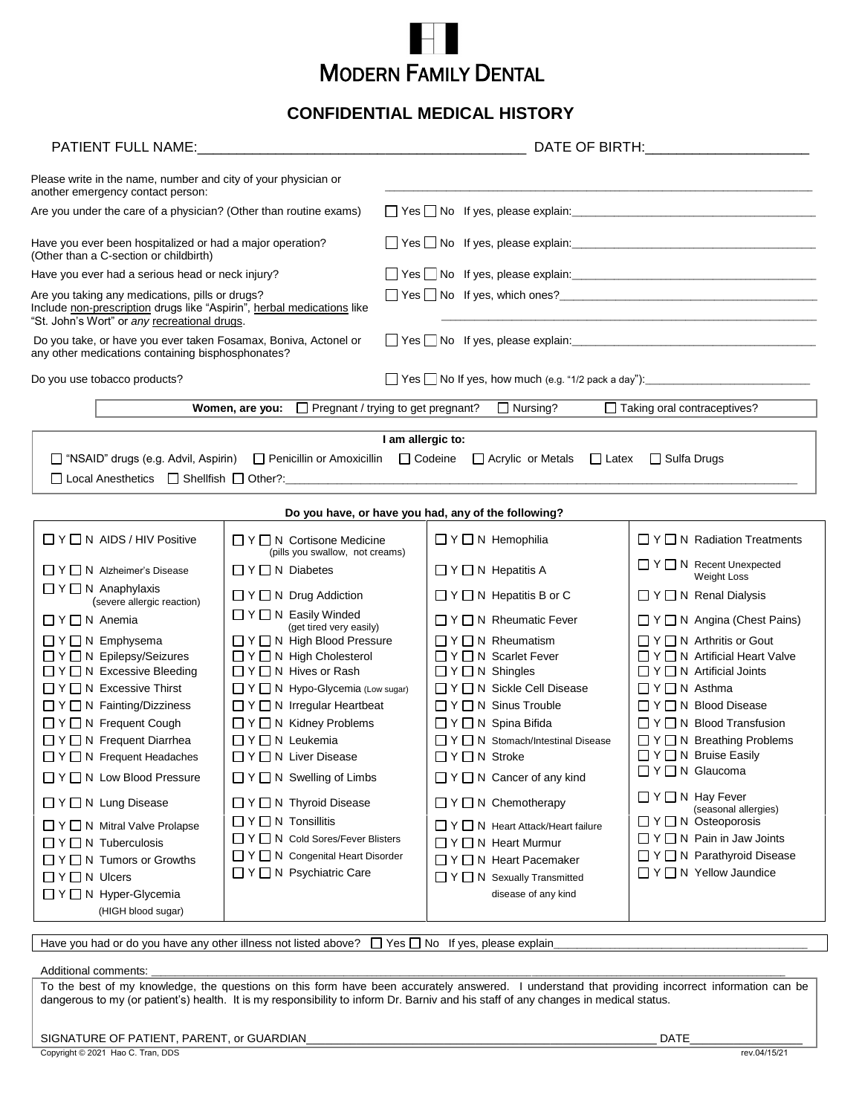

#### **CONFIDENTIAL MEDICAL HISTORY**

|                                                                                                                                                                                                                                                                                                                                                                                                                                                                                                                               |                                                                                                                                                                                                                                                                                                                                                                                                                                                                                                           | DATE OF BIRTH: ________________________                                                                         |                                                                                                                                                                                                                                                                                                                                                                                                                                                                                                           |                                                                                                                                                                                                                                                                                                                                                                                                                                                                                                                          |  |  |  |
|-------------------------------------------------------------------------------------------------------------------------------------------------------------------------------------------------------------------------------------------------------------------------------------------------------------------------------------------------------------------------------------------------------------------------------------------------------------------------------------------------------------------------------|-----------------------------------------------------------------------------------------------------------------------------------------------------------------------------------------------------------------------------------------------------------------------------------------------------------------------------------------------------------------------------------------------------------------------------------------------------------------------------------------------------------|-----------------------------------------------------------------------------------------------------------------|-----------------------------------------------------------------------------------------------------------------------------------------------------------------------------------------------------------------------------------------------------------------------------------------------------------------------------------------------------------------------------------------------------------------------------------------------------------------------------------------------------------|--------------------------------------------------------------------------------------------------------------------------------------------------------------------------------------------------------------------------------------------------------------------------------------------------------------------------------------------------------------------------------------------------------------------------------------------------------------------------------------------------------------------------|--|--|--|
| Please write in the name, number and city of your physician or<br>another emergency contact person:                                                                                                                                                                                                                                                                                                                                                                                                                           |                                                                                                                                                                                                                                                                                                                                                                                                                                                                                                           |                                                                                                                 |                                                                                                                                                                                                                                                                                                                                                                                                                                                                                                           |                                                                                                                                                                                                                                                                                                                                                                                                                                                                                                                          |  |  |  |
| Are you under the care of a physician? (Other than routine exams)                                                                                                                                                                                                                                                                                                                                                                                                                                                             |                                                                                                                                                                                                                                                                                                                                                                                                                                                                                                           |                                                                                                                 |                                                                                                                                                                                                                                                                                                                                                                                                                                                                                                           |                                                                                                                                                                                                                                                                                                                                                                                                                                                                                                                          |  |  |  |
| Have you ever been hospitalized or had a major operation?<br>(Other than a C-section or childbirth)                                                                                                                                                                                                                                                                                                                                                                                                                           |                                                                                                                                                                                                                                                                                                                                                                                                                                                                                                           |                                                                                                                 |                                                                                                                                                                                                                                                                                                                                                                                                                                                                                                           |                                                                                                                                                                                                                                                                                                                                                                                                                                                                                                                          |  |  |  |
| Have you ever had a serious head or neck injury?                                                                                                                                                                                                                                                                                                                                                                                                                                                                              |                                                                                                                                                                                                                                                                                                                                                                                                                                                                                                           | ■ Yes No If yes, please explain: ■ 2022 12:20 12:20 12:20 12:20 12:20 12:20 12:20 12:20 12:20 12:20 12:20 12:20 |                                                                                                                                                                                                                                                                                                                                                                                                                                                                                                           |                                                                                                                                                                                                                                                                                                                                                                                                                                                                                                                          |  |  |  |
| Are you taking any medications, pills or drugs?<br>Include non-prescription drugs like "Aspirin", herbal medications like<br>"St. John's Wort" or any recreational drugs.                                                                                                                                                                                                                                                                                                                                                     |                                                                                                                                                                                                                                                                                                                                                                                                                                                                                                           |                                                                                                                 |                                                                                                                                                                                                                                                                                                                                                                                                                                                                                                           |                                                                                                                                                                                                                                                                                                                                                                                                                                                                                                                          |  |  |  |
| Do you take, or have you ever taken Fosamax, Boniva, Actonel or<br>any other medications containing bisphosphonates?                                                                                                                                                                                                                                                                                                                                                                                                          |                                                                                                                                                                                                                                                                                                                                                                                                                                                                                                           |                                                                                                                 |                                                                                                                                                                                                                                                                                                                                                                                                                                                                                                           |                                                                                                                                                                                                                                                                                                                                                                                                                                                                                                                          |  |  |  |
| Do you use tobacco products?                                                                                                                                                                                                                                                                                                                                                                                                                                                                                                  |                                                                                                                                                                                                                                                                                                                                                                                                                                                                                                           | Yes No If yes, how much (e.g. "1/2 pack a day"): \\essimal No If yes, how much (e.g. "1/2 pack a day"):         |                                                                                                                                                                                                                                                                                                                                                                                                                                                                                                           |                                                                                                                                                                                                                                                                                                                                                                                                                                                                                                                          |  |  |  |
|                                                                                                                                                                                                                                                                                                                                                                                                                                                                                                                               | <b>Women, are you:</b> $\Box$ Pregnant / trying to get pregnant?                                                                                                                                                                                                                                                                                                                                                                                                                                          |                                                                                                                 | $\Box$ Nursing?                                                                                                                                                                                                                                                                                                                                                                                                                                                                                           | Taking oral contraceptives?                                                                                                                                                                                                                                                                                                                                                                                                                                                                                              |  |  |  |
|                                                                                                                                                                                                                                                                                                                                                                                                                                                                                                                               |                                                                                                                                                                                                                                                                                                                                                                                                                                                                                                           |                                                                                                                 |                                                                                                                                                                                                                                                                                                                                                                                                                                                                                                           |                                                                                                                                                                                                                                                                                                                                                                                                                                                                                                                          |  |  |  |
| I am allergic to:<br>□ "NSAID" drugs (e.g. Advil, Aspirin)<br>$\Box$ Penicillin or Amoxicillin $\Box$ Codeine<br>$\Box$ Acrylic or Metals $\Box$ Latex $\Box$ Sulfa Drugs                                                                                                                                                                                                                                                                                                                                                     |                                                                                                                                                                                                                                                                                                                                                                                                                                                                                                           |                                                                                                                 |                                                                                                                                                                                                                                                                                                                                                                                                                                                                                                           |                                                                                                                                                                                                                                                                                                                                                                                                                                                                                                                          |  |  |  |
| Do you have, or have you had, any of the following?                                                                                                                                                                                                                                                                                                                                                                                                                                                                           |                                                                                                                                                                                                                                                                                                                                                                                                                                                                                                           |                                                                                                                 |                                                                                                                                                                                                                                                                                                                                                                                                                                                                                                           |                                                                                                                                                                                                                                                                                                                                                                                                                                                                                                                          |  |  |  |
| $\Box$ Y $\Box$ N AIDS / HIV Positive                                                                                                                                                                                                                                                                                                                                                                                                                                                                                         | $\Box$ Y $\Box$ N Cortisone Medicine<br>(pills you swallow, not creams)                                                                                                                                                                                                                                                                                                                                                                                                                                   |                                                                                                                 | $\Box$ Y $\Box$ N Hemophilia                                                                                                                                                                                                                                                                                                                                                                                                                                                                              | $\Box$ Y $\Box$ N Radiation Treatments                                                                                                                                                                                                                                                                                                                                                                                                                                                                                   |  |  |  |
| $\Box$ Y $\Box$ N Alzheimer's Disease                                                                                                                                                                                                                                                                                                                                                                                                                                                                                         | $\Box Y \Box N$ Diabetes                                                                                                                                                                                                                                                                                                                                                                                                                                                                                  |                                                                                                                 | $\Box Y \Box N$ Hepatitis A                                                                                                                                                                                                                                                                                                                                                                                                                                                                               | $\Box Y \Box N$ Recent Unexpected<br><b>Weight Loss</b>                                                                                                                                                                                                                                                                                                                                                                                                                                                                  |  |  |  |
| $\Box$ Y $\Box$ N Anaphylaxis<br>(severe allergic reaction)                                                                                                                                                                                                                                                                                                                                                                                                                                                                   | $\Box Y \Box N$ Drug Addiction                                                                                                                                                                                                                                                                                                                                                                                                                                                                            |                                                                                                                 | $\Box Y \Box N$ Hepatitis B or C                                                                                                                                                                                                                                                                                                                                                                                                                                                                          | $\Box Y \Box N$ Renal Dialysis                                                                                                                                                                                                                                                                                                                                                                                                                                                                                           |  |  |  |
| $\Box$ Y $\Box$ N Anemia                                                                                                                                                                                                                                                                                                                                                                                                                                                                                                      | $\Box Y \Box N$ Easily Winded<br>(get tired very easily)                                                                                                                                                                                                                                                                                                                                                                                                                                                  |                                                                                                                 | $\Box$ Y $\Box$ N Rheumatic Fever                                                                                                                                                                                                                                                                                                                                                                                                                                                                         | $\Box Y \Box N$ Angina (Chest Pains)                                                                                                                                                                                                                                                                                                                                                                                                                                                                                     |  |  |  |
| $\Box$ Y $\Box$ N Emphysema<br>□ Y □ N Epilepsy/Seizures<br>$\Box$ Y $\Box$ N Excessive Bleeding<br>$\Box$ Y $\Box$ N Excessive Thirst<br>$\Box$ Y $\Box$ N Fainting/Dizziness<br>$\Box Y \Box N$ Frequent Cough<br>$\Box Y \Box N$ Frequent Diarrhea<br>□ Y □ N Frequent Headaches<br>$\Box$ Y $\Box$ N Low Blood Pressure<br>□ Y □ N Lung Disease<br>$\Box$ Y $\Box$ N Mitral Valve Prolapse<br>$\Box$ Y $\Box$ N Tuberculosis<br>$\Box$ Y $\Box$ N Tumors or Growths<br>$\Box$ Y $\Box$ N Ulcers<br>□ Y □ N Hyper-Glycemia | $\Box$ Y $\Box$ N High Blood Pressure<br>$\Box Y \Box N$ High Cholesterol<br>$\Box Y \Box N$ Hives or Rash<br>$\Box$ Y $\Box$ N Hypo-Glycemia (Low sugar)<br>$\Box$ Y $\Box$ N Irregular Heartbeat<br>$\Box Y \Box N$ Kidney Problems<br>$\Box Y \Box N$ Leukemia<br>□ Y □ N Liver Disease<br>$\Box Y \Box N$ Swelling of Limbs<br>□ Y □ N Thyroid Disease<br>$\Box Y \Box N$ Tonsillitis<br>□ Y □ N Cold Sores/Fever Blisters<br>$\Box$ Y $\Box$ N Congenital Heart Disorder<br>□ Y □ N Psychiatric Care |                                                                                                                 | $\Box Y \Box N$ Rheumatism<br>□ Y □ N Scarlet Fever<br>$\Box Y \Box N$ Shingles<br>$\Box$ Y $\Box$ N Sickle Cell Disease<br>$\Box$ Y $\Box$ N Sinus Trouble<br>$\Box Y \Box N$ Spina Bifida<br>$\Box$ Y $\Box$ N Stomach/Intestinal Disease<br>$\Box$ Y $\Box$ N Stroke<br>$\Box Y \Box N$ Cancer of any kind<br>$\Box$ Y $\Box$ N Chemotherapy<br>$\Box$ Y $\Box$ N Heart Attack/Heart failure<br>□ Y □ N Heart Murmur<br>□ Y □ N Heart Pacemaker<br>□ Y □ N Sexually Transmitted<br>disease of any kind | $\Box$ Y $\Box$ N Arthritis or Gout<br>$\Box Y \Box N$ Artificial Heart Valve<br>$\Box Y \Box N$ Artificial Joints<br>$\Box$ Y $\Box$ N Asthma<br>$\Box$ Y $\Box$ N Blood Disease<br>$\Box$ Y $\Box$ N Blood Transfusion<br>$\Box Y \Box N$ Breathing Problems<br>□ Y □ N Bruise Easily<br>□ Y □ N Glaucoma<br>$\Box$ Y $\Box$ N Hay Fever<br>(seasonal allergies)<br>$\Box$ Y $\Box$ N Osteoporosis<br>$\Box Y \Box N$ Pain in Jaw Joints<br>$\Box$ Y $\Box$ N Parathyroid Disease<br>$\Box$ Y $\Box$ N Yellow Jaundice |  |  |  |
| (HIGH blood sugar)                                                                                                                                                                                                                                                                                                                                                                                                                                                                                                            |                                                                                                                                                                                                                                                                                                                                                                                                                                                                                                           |                                                                                                                 |                                                                                                                                                                                                                                                                                                                                                                                                                                                                                                           |                                                                                                                                                                                                                                                                                                                                                                                                                                                                                                                          |  |  |  |

Have you had or do you have any other illness not listed above?  $\Box$  Yes  $\Box$  No If yes, please explain

Additional comments:

To the best of my knowledge, the questions on this form have been accurately answered. I understand that providing incorrect information can be dangerous to my (or patient's) health. It is my responsibility to inform Dr. Barniv and his staff of any changes in medical status.

SIGNATURE OF PATIENT, PARENT, or GUARDIAN\_\_\_\_\_\_\_\_\_\_\_\_\_\_\_\_\_\_\_\_\_\_\_\_\_\_\_\_\_\_\_\_\_\_\_\_\_\_\_\_\_\_\_\_\_\_\_\_\_\_\_\_\_\_\_\_ DATE\_\_\_\_\_\_\_\_\_\_\_\_\_\_\_\_\_\_